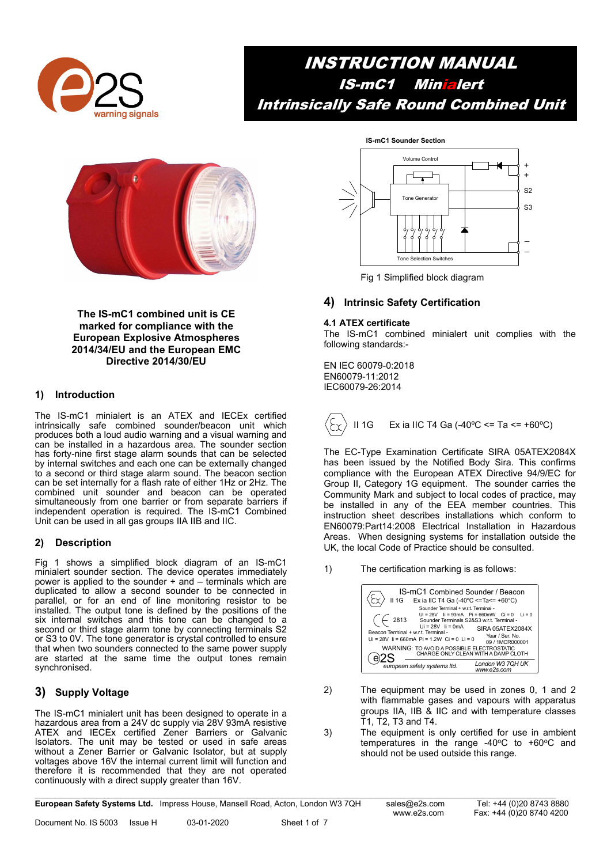

## INSTRUCTION MANUAL IS-mC1 Minialert Intrinsically Safe Round Combined Unit



The IS-mC1 combined unit is CE marked for compliance with the European Explosive Atmospheres 2014/34/EU and the European EMC Directive 2014/30/EU

## 1) Introduction

The IS-mC1 minialert is an ATEX and IECEx certified intrinsically safe combined sounder/beacon unit which produces both a loud audio warning and a visual warning and can be installed in a hazardous area. The sounder section has forty-nine first stage alarm sounds that can be selected by internal switches and each one can be externally changed to a second or third stage alarm sound. The beacon section can be set internally for a flash rate of either 1Hz or 2Hz. The combined unit sounder and beacon can be operated simultaneously from one barrier or from separate barriers if independent operation is required. The IS-mC1 Combined Unit can be used in all gas groups IIA IIB and IIC.

## 2) Description

Fig 1 shows a simplified block diagram of an IS-mC1 minialert sounder section. The device operates immediately power is applied to the sounder  $+$  and  $-$  terminals which are duplicated to allow a second sounder to be connected in parallel, or for an end of line monitoring resistor to be installed. The output tone is defined by the positions of the six internal switches and this tone can be changed to a second or third stage alarm tone by connecting terminals S2 or S3 to 0V. The tone generator is crystal controlled to ensure that when two sounders connected to the same power supply are started at the same time the output tones remain synchronised.

## 3) Supply Voltage

The IS-mC1 minialert unit has been designed to operate in a hazardous area from a 24V dc supply via 28V 93mA resistive ATEX and IECEx certified Zener Barriers or Galvanic Isolators. The unit may be tested or used in safe areas without a Zener Barrier or Galvanic Isolator, but at supply voltages above 16V the internal current limit will function and therefore it is recommended that they are not operated continuously with a direct supply greater than 16V.



Fig 1 Simplified block diagram

## 4) Intrinsic Safety Certification

## 4.1 ATEX certificate

The IS-mC1 combined minialert unit complies with the following standards:-

EN IEC 60079-0:2018 EN60079-11:2012 IEC60079-26:2014



The EC-Type Examination Certificate SIRA 05ATEX2084X has been issued by the Notified Body Sira. This confirms compliance with the European ATEX Directive 94/9/EC for Group II, Category 1G equipment. The sounder carries the Community Mark and subject to local codes of practice, may be installed in any of the EEA member countries. This instruction sheet describes installations which conform to EN60079:Part14:2008 Electrical Installation in Hazardous Areas. When designing systems for installation outside the UK, the local Code of Practice should be consulted.

1) The certification marking is as follows:



- 2) The equipment may be used in zones 0, 1 and 2 with flammable gases and vapours with apparatus groups IIA, IIB & IIC and with temperature classes T1, T2, T3 and T4.
- 3) The equipment is only certified for use in ambient temperatures in the range  $-40^{\circ}$ C to  $+60^{\circ}$ C and should not be used outside this range.

European Safety Systems Ltd. Impress House, Mansell Road, Acton, London W3 7QH sales@e2s.com Tel: +44 (0)20 8743 8880

Document No. IS 5003 Issue H 03-01-2020 Sheet 1 of 7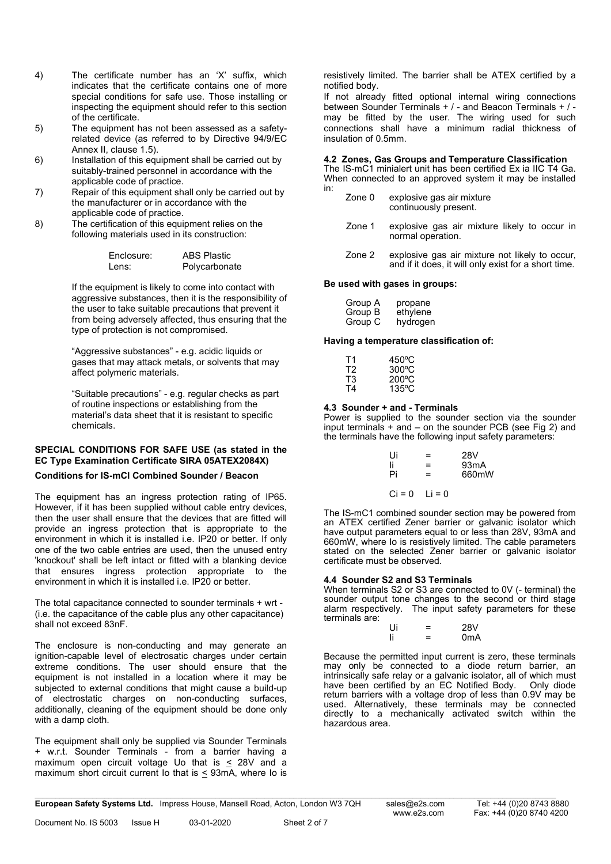- 4) The certificate number has an 'X' suffix, which indicates that the certificate contains one of more special conditions for safe use. Those installing or inspecting the equipment should refer to this section of the certificate.
- 5) The equipment has not been assessed as a safetyrelated device (as referred to by Directive 94/9/EC Annex II, clause 1.5).
- 6) Installation of this equipment shall be carried out by suitably-trained personnel in accordance with the applicable code of practice.
- 7) Repair of this equipment shall only be carried out by the manufacturer or in accordance with the applicable code of practice.
- 8) The certification of this equipment relies on the following materials used in its construction:

| Fnclosure: | <b>ABS Plastic</b> |
|------------|--------------------|
| l ens:     | Polycarbonate      |

If the equipment is likely to come into contact with aggressive substances, then it is the responsibility of the user to take suitable precautions that prevent it from being adversely affected, thus ensuring that the type of protection is not compromised.

"Aggressive substances" - e.g. acidic liquids or gases that may attack metals, or solvents that may affect polymeric materials.

"Suitable precautions" - e.g. regular checks as part of routine inspections or establishing from the material's data sheet that it is resistant to specific chemicals.

## SPECIAL CONDITIONS FOR SAFE USE (as stated in the EC Type Examination Certificate SIRA 05ATEX2084X)

## Conditions for IS-mCl Combined Sounder / Beacon

The equipment has an ingress protection rating of IP65. However, if it has been supplied without cable entry devices, then the user shall ensure that the devices that are fitted will provide an ingress protection that is appropriate to the environment in which it is installed i.e. IP20 or better. If only one of the two cable entries are used, then the unused entry 'knockout' shall be left intact or fitted with a blanking device that ensures ingress protection appropriate to the environment in which it is installed i.e. IP20 or better.

The total capacitance connected to sounder terminals + wrt - (i.e. the capacitance of the cable plus any other capacitance) shall not exceed 83nF.

The enclosure is non-conducting and may generate an ignition-capable level of electrosatic charges under certain extreme conditions. The user should ensure that the equipment is not installed in a location where it may be subjected to external conditions that might cause a build-up of electrostatic charges on non-conducting surfaces, additionally, cleaning of the equipment should be done only with a damp cloth.

The equipment shall only be supplied via Sounder Terminals + w.r.t. Sounder Terminals - from a barrier having a maximum open circuit voltage Uo that is  $\leq$  28V and a maximum short circuit current Io that is  $\leq$  93mA, where Io is resistively limited. The barrier shall be ATEX certified by a notified body.

If not already fitted optional internal wiring connections between Sounder Terminals + / - and Beacon Terminals + / may be fitted by the user. The wiring used for such connections shall have a minimum radial thickness of insulation of 0.5mm.

#### 4.2 Zones, Gas Groups and Temperature Classification

The IS-mC1 minialert unit has been certified Ex ia IIC T4 Ga. When connected to an approved system it may be installed in:

| Zone 0 | explosive gas air mixture |
|--------|---------------------------|
|        | continuously present.     |

- Zone 1 explosive gas air mixture likely to occur in normal operation.
- Zone 2 explosive gas air mixture not likely to occur, and if it does, it will only exist for a short time.

#### Be used with gases in groups:

| Group A | propane  |
|---------|----------|
| Group B | ethylene |
| Group C | hydrogen |

Having a temperature classification of:

| Τ1 | 450°C           |
|----|-----------------|
| T2 | $300^{\circ}$ C |
| T3 | $200^{\circ}$ C |
| Τ4 | $135^{\circ}$ C |

#### 4.3 Sounder + and - Terminals

Power is supplied to the sounder section via the sounder input terminals + and – on the sounder PCB (see Fig 2) and the terminals have the following input safety parameters:

| Ui                | =   | 28V               |
|-------------------|-----|-------------------|
| li                | $=$ | 93 <sub>m</sub> A |
| Pi                | =   | 660mW             |
| $Ci = 0$ $1i = 0$ |     |                   |

The IS-mC1 combined sounder section may be powered from an ATEX certified Zener barrier or galvanic isolator which have output parameters equal to or less than 28V, 93mA and 660mW, where Io is resistively limited. The cable parameters stated on the selected Zener barrier or galvanic isolator certificate must be observed.

## 4.4 Sounder S2 and S3 Terminals

When terminals S2 or S3 are connected to 0V (- terminal) the sounder output tone changes to the second or third stage alarm respectively. The input safety parameters for these terminals are:

| Ui |   | <b>28V</b>       |
|----|---|------------------|
| li | - | 0 <sub>m</sub> A |

Because the permitted input current is zero, these terminals may only be connected to a diode return barrier, an intrinsically safe relay or a galvanic isolator, all of which must have been certified by an EC Notified Body. Only diode return barriers with a voltage drop of less than 0.9V may be used. Alternatively, these terminals may be connected directly to a mechanically activated switch within the mazardous area.

European Safety Systems Ltd. Impress House, Mansell Road, Acton, London W3 7QH sales@e2s.com Tel: +44 (0)20 8743 8880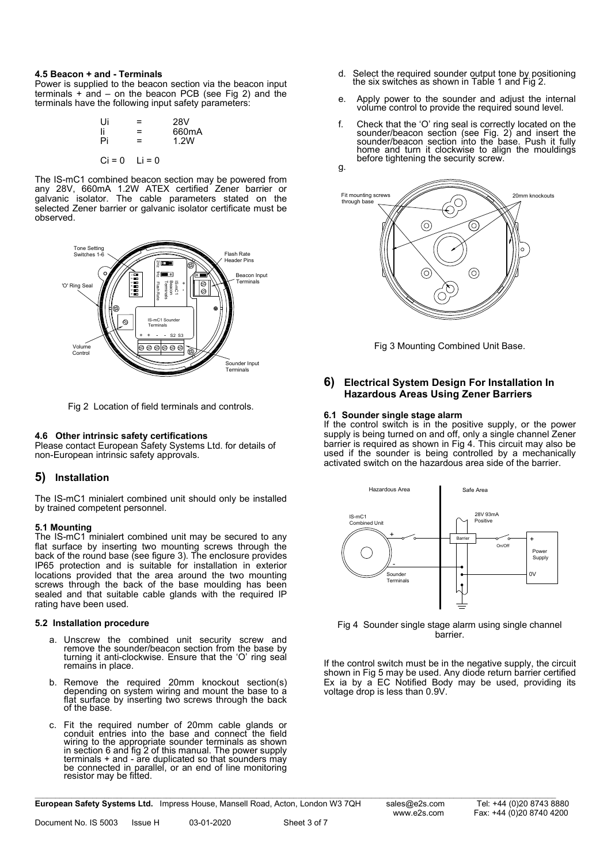#### 4.5 Beacon + and - Terminals

Power is supplied to the beacon section via the beacon input terminals  $+$  and  $-$  on the beacon PCB (see Fig 2) and the terminals have the following input safety parameters:

| Ui                | =   | 28V   |
|-------------------|-----|-------|
|                   | =   | 660mA |
| Pi                | $=$ | 1.2W  |
|                   |     |       |
| $Ci = 0$ $Li = 0$ |     |       |

The IS-mC1 combined beacon section may be powered from any 28V, 660mA 1.2W ATEX certified Zener barrier or galvanic isolator. The cable parameters stated on the selected Zener barrier or galvanic isolator certificate must be observed.



Fig 2 Location of field terminals and controls.

## 4.6 Other intrinsic safety certifications

Please contact European Safety Systems Ltd. for details of non-European intrinsic safety approvals.

## 5) Installation

The IS-mC1 minialert combined unit should only be installed by trained competent personnel.

#### 5.1 Mounting

The IS-mC1 minialert combined unit may be secured to any flat surface by inserting two mounting screws through the back of the round base (see figure 3). The enclosure provides IP65 protection and is suitable for installation in exterior locations provided that the area around the two mounting screws through the back of the base moulding has been sealed and that suitable cable glands with the required IP rating have been used.

#### 5.2 Installation procedure

- a. Unscrew the combined unit security screw and remove the sounder/beacon section from the base by turning it anti-clockwise. Ensure that the 'O' ring seal remains in place.
- b. Remove the required 20mm knockout section(s) depending on system wiring and mount the base to a flat surface by inserting two screws through the back of the base.
- c. Fit the required number of 20mm cable glands or conduit entries into the base and connect the field wiring to the appropriate sounder terminals as shown in section 6 and fig 2 of this manual. The power supply  $terminals + and - are duplicated so that sounders ma)$ be connected in parallel, or an end of line monitoring resistor may be fitted.
- d. Select the required sounder output tone by positioning the six switches as shown in Table 1 and Fig 2.
- e. Apply power to the sounder and adjust the internal volume control to provide the required sound level.
- f. Check that the 'O' ring seal is correctly located on the sounder/beacon section (see Fig. 2) and insert the sounder/beacon section into the base. Push it fully home and turn it clockwise to align the mouldings before tightening the security screw.



Fig 3 Mounting Combined Unit Base.

## 6) Electrical System Design For Installation In Hazardous Areas Using Zener Barriers

#### 6.1 Sounder single stage alarm

If the control switch is in the positive supply, or the power supply is being turned on and off, only a single channel Zener barrier is required as shown in Fig 4. This circuit may also be used if the sounder is being controlled by a mechanically activated switch on the hazardous area side of the barrier.



Fig 4 Sounder single stage alarm using single channel barrier.

If the control switch must be in the negative supply, the circuit shown in Fig 5 may be used. Any diode return barrier certified Ex ia by a EC Notified Body may be used, providing its voltage drop is less than 0.9V.

European Safety Systems Ltd. Impress House, Mansell Road, Acton, London W3 7QH sales@e2s.com Tel: +44 (0)20 8743 8880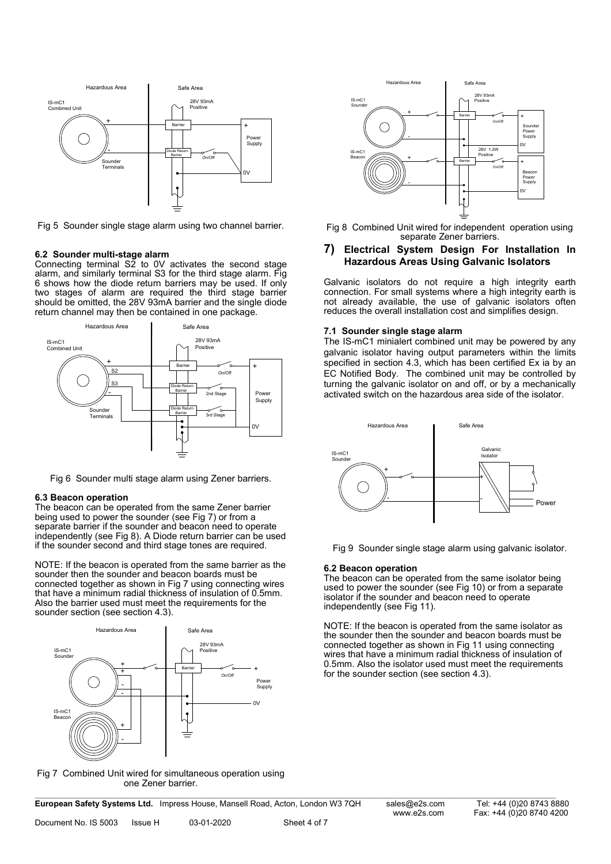

Fig 5 Sounder single stage alarm using two channel barrier.

#### 6.2 Sounder multi-stage alarm

Connecting terminal  $S\bar{2}$  to 0V activates the second stage alarm, and similarly terminal S3 for the third stage alarm. Fig 6 shows how the diode return barriers may be used. If only two stages of alarm are required the third stage barrier should be omitted, the 28V 93mA barrier and the single diode return channel may then be contained in one package.



Fig 6 Sounder multi stage alarm using Zener barriers.

#### 6.3 Beacon operation

The beacon can be operated from the same Zener barrier being used to power the sounder (see Fig 7) or from a separate barrier if the sounder and beacon need to operate independently (see Fig 8). A Diode return barrier can be used if the sounder second and third stage tones are required.

NOTE: If the beacon is operated from the same barrier as the sounder then the sounder and beacon boards must be connected together as shown in Fig 7 using connecting wires that have a minimum radial thickness of insulation of 0.5mm. Also the barrier used must meet the requirements for the sounder section (see section 4.3).



Fig 7 Combined Unit wired for simultaneous operation using one Zener barrier.

European Safety Systems Ltd. Impress House, Mansell Road, Acton, London W3 7QH sales@e2s.com Tel: +44 (0)20 8743 8880



Fig 8 Combined Unit wired for independent operation using separate Zener barriers.

#### 7) Electrical System Design For Installation In Hazardous Areas Using Galvanic Isolators

Galvanic isolators do not require a high integrity earth connection. For small systems where a high integrity earth is not already available, the use of galvanic isolators often reduces the overall installation cost and simplifies design.

#### 7.1 Sounder single stage alarm

The IS-mC1 minialert combined unit may be powered by any galvanic isolator having output parameters within the limits specified in section 4.3, which has been certified Ex ia by an EC Notified Body. The combined unit may be controlled by turning the galvanic isolator on and off, or by a mechanically activated switch on the hazardous area side of the isolator.



Fig 9 Sounder single stage alarm using galvanic isolator.

#### 6.2 Beacon operation

The beacon can be operated from the same isolator being used to power the sounder (see Fig 10) or from a separate isolator if the sounder and beacon need to operate independently (see Fig 11).

NOTE: If the beacon is operated from the same isolator as the sounder then the sounder and beacon boards must be connected together as shown in Fig 11 using connecting wires that have a minimum radial thickness of insulation of 0.5mm. Also the isolator used must meet the requirements for the sounder section (see section 4.3).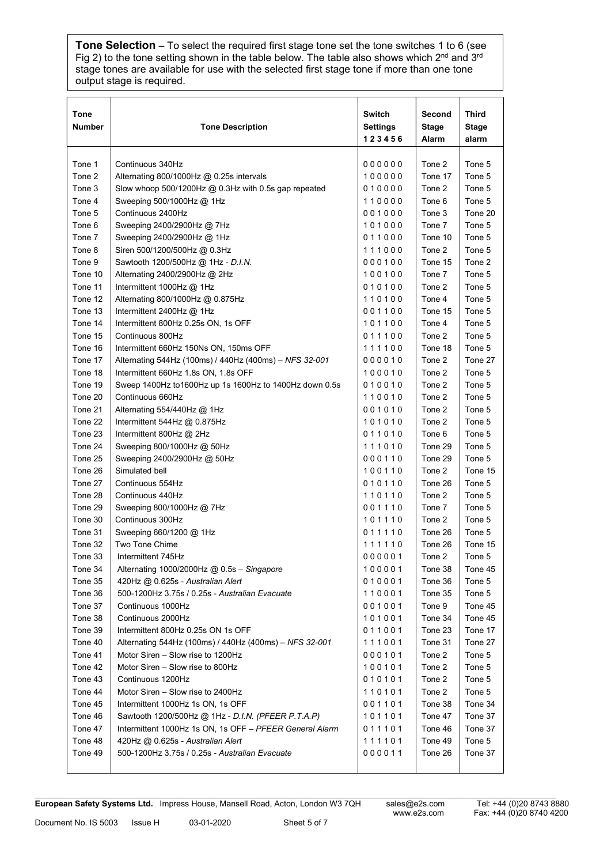Tone Selection – To select the required first stage tone set the tone switches 1 to 6 (see Fig 2) to the tone setting shown in the table below. The table also shows which 2<sup>nd</sup> and 3<sup>rd</sup> stage tones are available for use with the selected first stage tone if more than one tone output stage is required.

| <b>Tone</b><br><b>Number</b> | <b>Tone Description</b>                                 | Switch<br><b>Settings</b><br>123456 | Second<br><b>Stage</b><br>Alarm | Third<br>Stage<br>alarm |
|------------------------------|---------------------------------------------------------|-------------------------------------|---------------------------------|-------------------------|
| Tone 1                       | Continuous 340Hz                                        | 000000                              | Tone 2                          | Tone 5                  |
| Tone 2                       | Alternating 800/1000Hz $@$ 0.25s intervals              | 100000                              | Tone 17                         | Tone 5                  |
| Tone 3                       | Slow whoop 500/1200Hz @ 0.3Hz with 0.5s gap repeated    | 010000                              | Tone 2                          | Tone 5                  |
| Tone 4                       | Sweeping 500/1000Hz @ 1Hz                               | 110000                              | Tone 6                          | Tone 5                  |
| Tone 5                       | Continuous 2400Hz                                       | 001000                              | Tone 3                          | Tone 20                 |
| Tone 6                       | Sweeping 2400/2900Hz @ 7Hz                              | 101000                              | Tone 7                          | Tone 5                  |
| Tone 7                       | Sweeping 2400/2900Hz @ 1Hz                              | 011000                              | Tone 10                         | Tone 5                  |
| Tone 8                       | Siren 500/1200/500Hz @ 0.3Hz                            | 111000                              | Tone 2                          | Tone 5                  |
| Tone 9                       | Sawtooth 1200/500Hz @ 1Hz - D.I.N.                      | 000100                              | Tone 15                         | Tone 2                  |
| Tone 10                      | Alternating 2400/2900Hz @ 2Hz                           | 100100                              | Tone 7                          | Tone 5                  |
| Tone 11                      | Intermittent 1000Hz @ 1Hz                               | 010100                              | Tone 2                          | Tone 5                  |
| Tone 12                      | Alternating 800/1000Hz @ 0.875Hz                        | 110100                              | Tone 4                          | Tone 5                  |
| Tone 13                      | Intermittent 2400Hz $@$ 1Hz                             | 001100                              | Tone 15                         | Tone 5                  |
| Tone 14                      | Intermittent 800Hz 0.25s ON, 1s OFF                     | 101100                              | Tone 4                          | Tone 5                  |
| Tone 15                      | Continuous 800Hz                                        | 011100                              | Tone 2                          | Tone 5                  |
| Tone 16                      | Intermittent 660Hz 150Ns ON, 150ms OFF                  | 111100                              | Tone 18                         | Tone 5                  |
| Tone 17                      | Alternating 544Hz (100ms) / 440Hz (400ms) - NFS 32-001  | 000010                              | Tone 2                          | Tone 27                 |
| Tone 18                      | Intermittent 660Hz 1.8s ON, 1.8s OFF                    | 100010                              | Tone 2                          | Tone 5                  |
| Tone 19                      | Sweep 1400Hz to1600Hz up 1s 1600Hz to 1400Hz down 0.5s  | 010010                              | Tone 2                          | Tone 5                  |
| Tone 20                      | Continuous 660Hz                                        | 110010                              | Tone 2                          | Tone 5                  |
| Tone 21                      | Alternating 554/440Hz $@$ 1Hz                           | 001010                              | Tone 2                          | Tone 5                  |
| Tone 22                      | Intermittent 544Hz @ 0.875Hz                            | 101010                              | Tone 2                          | Tone 5                  |
| Tone 23                      | Intermittent 800Hz @ 2Hz                                | 011010                              | Tone 6                          | Tone 5                  |
| Tone 24                      | Sweeping 800/1000Hz @ 50Hz                              | 111010                              | Tone 29                         | Tone 5                  |
| Tone 25                      | Sweeping 2400/2900Hz @ 50Hz                             | 000110                              | Tone 29                         | Tone 5                  |
| Tone 26                      | Simulated bell                                          | 100110                              | Tone 2                          | Tone 15                 |
| Tone 27                      | Continuous 554Hz                                        | 010110                              | Tone 26                         | Tone 5                  |
| Tone 28                      | Continuous 440Hz                                        | 110110                              | Tone 2                          | Tone 5                  |
| Tone 29                      | Sweeping 800/1000Hz @ 7Hz                               | 001110                              | Tone 7                          | Tone 5                  |
| Tone 30                      | Continuous 300Hz                                        | 101110                              | Tone 2                          | Tone 5                  |
| Tone 31                      | Sweeping 660/1200 @ 1Hz                                 | 011110                              | Tone 26                         | Tone 5                  |
| Tone 32                      | Two Tone Chime                                          | 111110                              | Tone 26                         | Tone 15                 |
| Tone 33                      | Intermittent 745Hz                                      | 000001                              | Tone 2                          | Tone 5                  |
| Tone 34                      | Alternating 1000/2000Hz $@$ 0.5s - Singapore            | 100001                              | Tone 38                         | Tone 45                 |
| Tone 35                      | 420Hz @ 0.625s - Australian Alert                       | 010001                              | Tone 36                         | Tone 5                  |
| Tone 36                      | 500-1200Hz 3.75s / 0.25s - Australian Evacuate          | 110001                              | Tone 35                         | Tone 5                  |
| Tone 37                      | Continuous 1000Hz                                       | 001001                              | Tone 9                          | Tone 45                 |
| Tone 38                      | Continuous 2000Hz                                       | 101001                              | Tone 34                         | Tone 45                 |
| Tone 39                      | Intermittent 800Hz 0.25s ON 1s OFF                      | 011001                              | Tone 23                         | Tone 17                 |
| Tone 40                      | Alternating 544Hz (100ms) / 440Hz (400ms) - NFS 32-001  | 111001                              | Tone 31                         | Tone 27                 |
| Tone 41                      | Motor Siren - Slow rise to 1200Hz                       | 000101                              | Tone 2                          | Tone 5                  |
| Tone 42                      | Motor Siren - Slow rise to 800Hz                        | 100101                              | Tone 2                          | Tone 5                  |
| Tone 43                      | Continuous 1200Hz                                       | 010101                              | Tone 2                          | Tone 5                  |
| Tone 44                      | Motor Siren – Slow rise to 2400Hz                       | 110101                              | Tone 2                          | Tone 5                  |
| Tone 45                      | Intermittent 1000Hz 1s ON, 1s OFF                       | 001101                              | Tone 38                         | Tone 34                 |
| Tone 46                      | Sawtooth 1200/500Hz @ 1Hz - D.I.N. (PFEER P.T.A.P)      | 101101                              | Tone 47                         | Tone 37                 |
| Tone 47                      | Intermittent 1000Hz 1s ON, 1s OFF - PFEER General Alarm | 011101                              | Tone 46                         | Tone 37                 |
| Tone 48                      | 420Hz @ 0.625s - Australian Alert                       | 111101                              | Tone 49                         | Tone 5                  |
| Tone 49                      | 500-1200Hz 3.75s / 0.25s - Australian Evacuate          | 000011                              | Tone 26                         | Tone 37                 |
|                              |                                                         |                                     |                                 |                         |

European Safety Systems Ltd. Impress House, Mansell Road, Acton, London W3 7QH sales@e2s.com Tel: +44 (0)20 8743 8880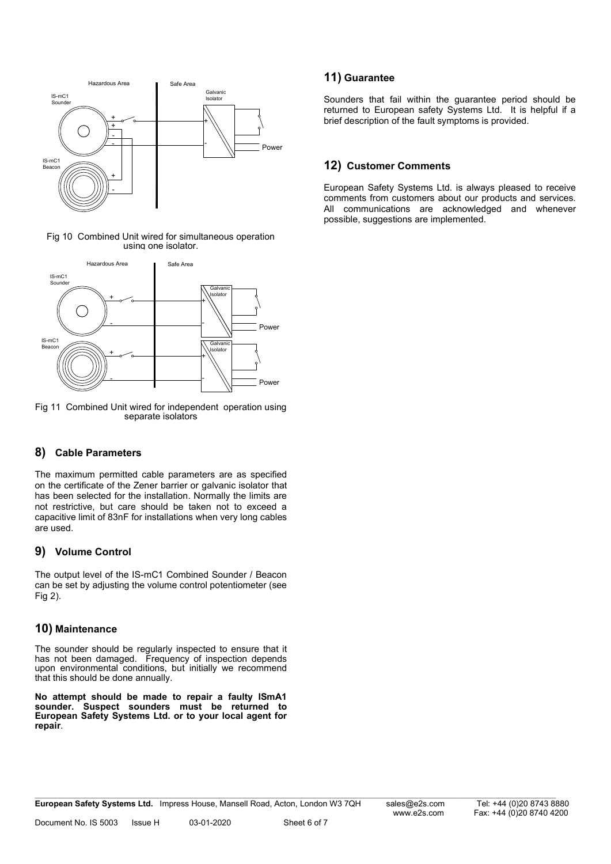

Fig 10 Combined Unit wired for simultaneous operation using one isolator.



Fig 11 Combined Unit wired for independent operation using separate isolators

## 8) Cable Parameters

The maximum permitted cable parameters are as specified on the certificate of the Zener barrier or galvanic isolator that has been selected for the installation. Normally the limits are not restrictive, but care should be taken not to exceed a capacitive limit of 83nF for installations when very long cables are used.

## 9) Volume Control

The output level of the IS-mC1 Combined Sounder / Beacon can be set by adjusting the volume control potentiometer (see Fig 2).

## 10) Maintenance

The sounder should be regularly inspected to ensure that it has not been damaged. Frequency of inspection depends upon environmental conditions, but initially we recommend that this should be done annually.

No attempt should be made to repair a faulty ISmA1 sounder. Suspect sounders must be returned to European Safety Systems Ltd. or to your local agent for repair.

## 11) Guarantee

Sounders that fail within the guarantee period should be returned to European safety Systems Ltd. It is helpful if a brief description of the fault symptoms is provided.

## 12) Customer Comments

European Safety Systems Ltd. is always pleased to receive comments from customers about our products and services. All communications are acknowledged and whenever possible, suggestions are implemented.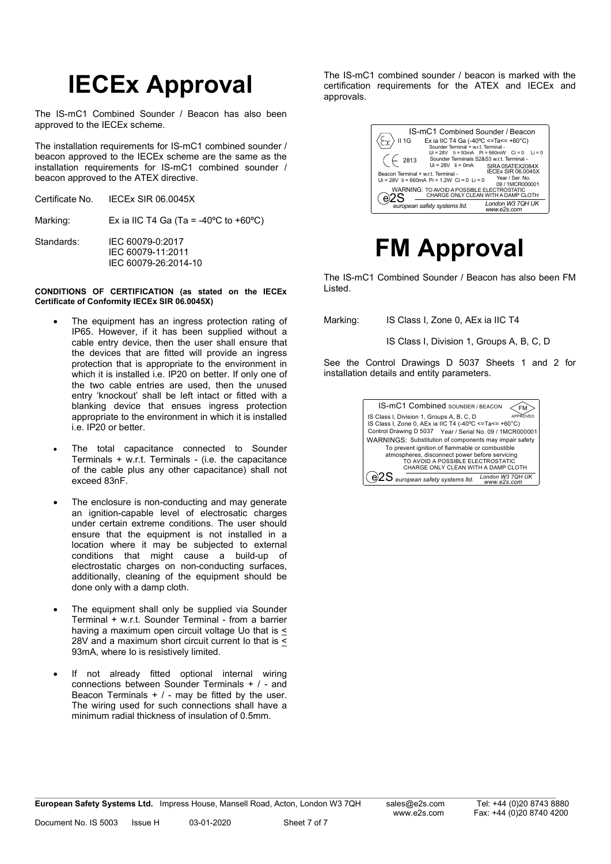# IECEx Approval

The IS-mC1 Combined Sounder / Beacon has also been approved to the IECEx scheme.

The installation requirements for IS-mC1 combined sounder / beacon approved to the IECEx scheme are the same as the installation requirements for IS-mC1 combined sounder / beacon approved to the ATEX directive.

|            | Certificate No. IECEx SIR 06.0045X                            |
|------------|---------------------------------------------------------------|
| Marking:   | Ex ia IIC T4 Ga (Ta = -40°C to +60°C)                         |
| Standards: | IEC 60079-0:2017<br>IEC 60079-11:2011<br>IEC 60079-26:2014-10 |

#### CONDITIONS OF CERTIFICATION (as stated on the IECEx Certificate of Conformity IECEx SIR 06.0045X)

- The equipment has an ingress protection rating of IP65. However, if it has been supplied without a cable entry device, then the user shall ensure that the devices that are fitted will provide an ingress protection that is appropriate to the environment in which it is installed i.e. IP20 on better. If only one of the two cable entries are used, then the unused entry 'knockout' shall be left intact or fitted with a blanking device that ensues ingress protection appropriate to the environment in which it is installed i.e. IP20 or better.
- The total capacitance connected to Sounder Terminals + w.r.t. Terminals - (i.e. the capacitance of the cable plus any other capacitance) shall not exceed 83nF.
- The enclosure is non-conducting and may generate an ignition-capable level of electrosatic charges under certain extreme conditions. The user should ensure that the equipment is not installed in a location where it may be subjected to external conditions that might cause a build-up of electrostatic charges on non-conducting surfaces, additionally, cleaning of the equipment should be done only with a damp cloth.
- The equipment shall only be supplied via Sounder Terminal + w.r.t. Sounder Terminal - from a barrier having a maximum open circuit voltage Uo that is < 28V and a maximum short circuit current Io that is < 93mA, where Io is resistively limited.
- If not already fitted optional internal wiring connections between Sounder Terminals + / - and Beacon Terminals  $+ / -$  may be fitted by the user. The wiring used for such connections shall have a minimum radial thickness of insulation of 0.5mm.

The IS-mC1 combined sounder / beacon is marked with the certification requirements for the ATEX and IECEx and approvals.

| IS-mC1 Combined Sounder / Beacon                                                                              |
|---------------------------------------------------------------------------------------------------------------|
| Ex ia IIC T4 Ga (-40°C <=Ta<= +60°C)<br>$II$ 1G<br>Sounder Terminal + w.r.t. Terminal -                       |
| $Ui = 28V$ $li = 93mA$ $Pi = 660mW$ $Ci = 0$ $Li = 0$<br>Sounder Terminals S2&S3 w.r.t. Terminal -<br>2813    |
| $Ui = 28V$ $ii = 0mA$<br>SIRA 05ATEX2084X<br><b>IECEX SIR 06.0045X</b><br>Beacon Terminal + w.r.t. Terminal - |
| Year / Ser. No.<br>Ui = 28V Ii = 660mA Pi = 1.2W Ci = 0 Li = 0<br>09 / 1MCR000001                             |
| WARNING: TO AVOID A POSSIBLE ELECTROSTATIC<br>CHARGE ONLY CLEAN WITH A DAMP CLOTH                             |
| London W3 7QH UK<br>european safety systems Itd.<br>www.e2s.com                                               |

## FM Approval

The IS-mC1 Combined Sounder / Beacon has also been FM Listed.

Marking: IS Class I, Zone 0, AEx ia IIC T4

IS Class I, Division 1, Groups A, B, C, D

See the Control Drawings D 5037 Sheets 1 and 2 for installation details and entity parameters.

| <b>IS-mC1 Combined SOUNDER / BEACON</b>                                                                                                                                                                                                 |
|-----------------------------------------------------------------------------------------------------------------------------------------------------------------------------------------------------------------------------------------|
| IS Class I, Division 1, Groups A, B, C, D<br>APPROVED<br>IS Class I, Zone 0, AEx ia IIC T4 (-40°C <= Ta<= +60°C)<br>Control Drawing D 5037 Year / Serial No. 09 / 1MCR000001                                                            |
| WARNINGS: Substitution of components may impair safety<br>To prevent ignition of flammable or combustible<br>atmospheres, disconnect power before servicing<br>TO AVOID A POSSIBLE ELECTROSTATIC<br>CHARGE ONLY CLEAN WITH A DAMP CLOTH |
| London W3 7QH UK<br>$eZ$ european safety systems Itd.<br>www.e2s.com                                                                                                                                                                    |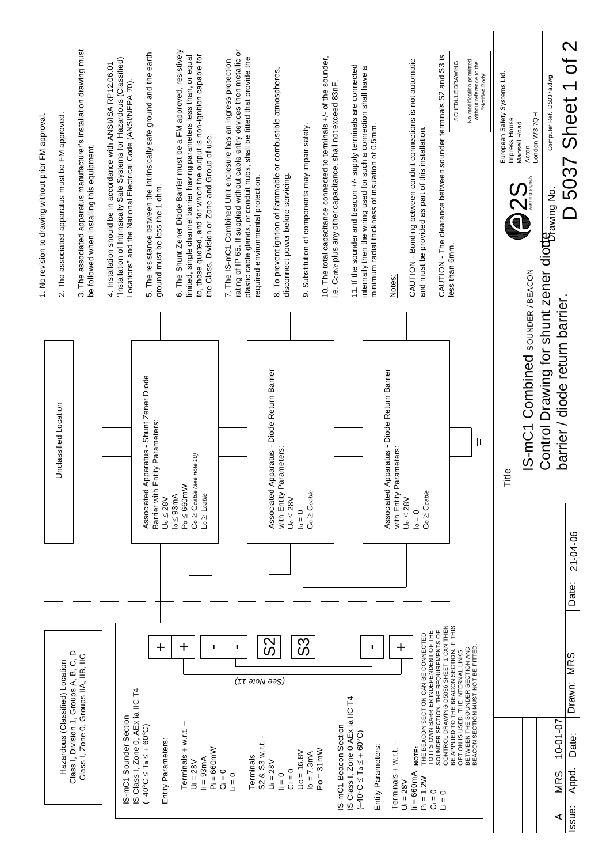| 1. No revision to drawing without prior FM approval | 2. The associated apparatus must be FM approved. | 3. The associated apparatus manufacturer's installation drawing must<br>be followed when installing this equipment. | "Installation of Intrinsically Safe Systems for Hazardous (Classified)<br>4. Installation should be in accordance with ANSI/ISA RP12.06.01<br>Locations" and the National Electrical Code (ANSI/NFPA 70). | 5. The resistance between the intrinsically safe ground and the earth<br>ground must be less the 1 ohm. | 6. The Shunt Zener Diode Barrier must be a FM approved, resistively<br>to, those quoted, and for which the output is non-ignition capable for<br>limited, single channel barrier having parameters less than, or equal<br>the Class, Division or Zone and Group of use. | rating of IP 65. If supplied without cable entry devices then metallic or<br>plastic cable glands, or conduit hubs, shall be fitted that provide the<br>7. The IS-mC1 Combined Unit enclosure has an ingress protection<br>required environmental protection. | 8. To prevent ignition of flammable or combustible atmospheres,<br>disconnect power before servicing. | 9. Substitution of components may impair safety.   | 10. The total capacitance connected to terminals +/- of the sounder,<br>i.e. Ccable plus any other capacitance, shall not exceed 83nF | 11. If the sounder and beacon +/- supply terminals are connected<br>a<br>internally then the wiring used for such a connection shall have<br>minimum radial thickness of insulation of 0.5mm. |                                                                        | CAUTION - Bonding between conduit connections is not automatic<br>and must be provided as part of this installation.                 | CAUTION - The clearance between sounder terminals S2 and S3 is                                                                                                | No modification permitted<br>without reference to the<br>SCHEDULE DRAWING<br>"Notified Body"                | European Safety Systems Ltd.<br>Impress House<br>Mansell Road<br>OZS | London W37QH<br>Acton          | Computer Ref. D5037a.dwg                                                           | of 2<br>$\blacktriangledown$<br>5037 Sheet<br>$\overline{\phantom{0}}$ |
|-----------------------------------------------------|--------------------------------------------------|---------------------------------------------------------------------------------------------------------------------|-----------------------------------------------------------------------------------------------------------------------------------------------------------------------------------------------------------|---------------------------------------------------------------------------------------------------------|-------------------------------------------------------------------------------------------------------------------------------------------------------------------------------------------------------------------------------------------------------------------------|---------------------------------------------------------------------------------------------------------------------------------------------------------------------------------------------------------------------------------------------------------------|-------------------------------------------------------------------------------------------------------|----------------------------------------------------|---------------------------------------------------------------------------------------------------------------------------------------|-----------------------------------------------------------------------------------------------------------------------------------------------------------------------------------------------|------------------------------------------------------------------------|--------------------------------------------------------------------------------------------------------------------------------------|---------------------------------------------------------------------------------------------------------------------------------------------------------------|-------------------------------------------------------------------------------------------------------------|----------------------------------------------------------------------|--------------------------------|------------------------------------------------------------------------------------|------------------------------------------------------------------------|
|                                                     |                                                  |                                                                                                                     |                                                                                                                                                                                                           |                                                                                                         |                                                                                                                                                                                                                                                                         |                                                                                                                                                                                                                                                               |                                                                                                       |                                                    |                                                                                                                                       |                                                                                                                                                                                               | Notes:                                                                 |                                                                                                                                      |                                                                                                                                                               | less than 6mm.                                                                                              |                                                                      |                                |                                                                                    |                                                                        |
|                                                     | Unclassified Location                            |                                                                                                                     |                                                                                                                                                                                                           | Associated Apparatus - Shunt Zener Diode<br>Barrier with Entity Parameters:                             | $\mathrm{Co}\geq\mathrm{Coable}$ (see note 10)<br>$P_0 \leq 660mW$<br>$Lo \ge Lcable$                                                                                                                                                                                   |                                                                                                                                                                                                                                                               | Associated Apparatus - Diode Return Barrier<br>with Entity Parameters:                                | $Co \geq Coable$                                   |                                                                                                                                       |                                                                                                                                                                                               | Associated Apparatus - Diode Return Barrier<br>with Entity Parameters: | $\mathrm{Co} \geq \mathrm{Coable}$                                                                                                   |                                                                                                                                                               |                                                                                                             | Title                                                                | IS-mC1 Combined souNDER/BEACON | Control Drawing for shunt zener dioch awing No.<br>barrier / diode return barrier. |                                                                        |
|                                                     |                                                  |                                                                                                                     |                                                                                                                                                                                                           | $U_0 \leq 28V$                                                                                          | $\log \leq 93$ m $\beta$                                                                                                                                                                                                                                                |                                                                                                                                                                                                                                                               | $U_0 \leq 28V$                                                                                        | $\mathsf{I}_\circ = 0$                             |                                                                                                                                       |                                                                                                                                                                                               |                                                                        | $U_0 \leq 28V$<br>$\mathsf{I}_\circ = 0$                                                                                             |                                                                                                                                                               |                                                                                                             |                                                                      |                                |                                                                                    | 21-04-06<br>Date:                                                      |
|                                                     | Hazardous (Classified) Location                  | Class I, Division 1, Groups A, B, C, D<br>Class I, Zone 0, Groups IIA, IIB, IIC                                     | S Class I, Zone 0, AEx ia IIC T4<br>S-mC1 Sounder Section                                                                                                                                                 | $\ddag$<br>$(-40^{\circ}C \leq T_a \leq +60^{\circ}C)$<br>Entity Parameters:                            | $\bm{+}$<br>I.<br>Terminals $+w.t.$<br>$Pi = 660m$<br>$\mathsf{h} = 93\mathsf{mA}$<br>$U_i = 28V$                                                                                                                                                                       | п<br>(11 ətoM əəS)<br>S2 & S3 w.r.t.<br>Terminals<br>$C = 0$<br>$\Box = 0$                                                                                                                                                                                    | SS<br>$Ui = 28V$<br>$Ci = 0$<br>$= 0$                                                                 | သိ<br>$Po = 31mW$<br>$U_0 = 16.8V$<br>$lo = 7.3mA$ | S-mC1 Beacon Section                                                                                                                  | п.<br>S Class I, Zone 0 AEx ia IIC T4<br>$(-40^{\circ}C \leq T_a \leq + 60^{\circ}C)$<br>Entity Parameters:                                                                                   | $\ddag$<br>J<br>Terminals + w.r.t.                                     | THE BEACON SECTION CAN BE CONNECTED<br>TO IT'S OWN BARRIER INDEPENDENT OF THE<br>NOTE:<br>$ii = 660mA$<br>$Pi = 1.2W$<br>$U_i = 28V$ | SOUNDER SECTION. THE REQUIREMENTS OF<br>CONTROL DRAWING D5036 SHEET 1 CAN THEN<br>BE APPLIED TO THE BEACON SECTION. IF THIS<br>$\overline{C} = 0$<br>$Li = 0$ | OPTION IS USED, THE INTERNAL LINKS<br>BETWEEN THE SOUNDER SECTION AND<br>BEACON SECTION MUST NOT BE FITTED. |                                                                      |                                | $10 - 01 - 07$<br><b>MRS</b><br>⋖                                                  | <b>MRS</b><br>Drawn:<br>Date:<br>Appd.<br>Issue:                       |